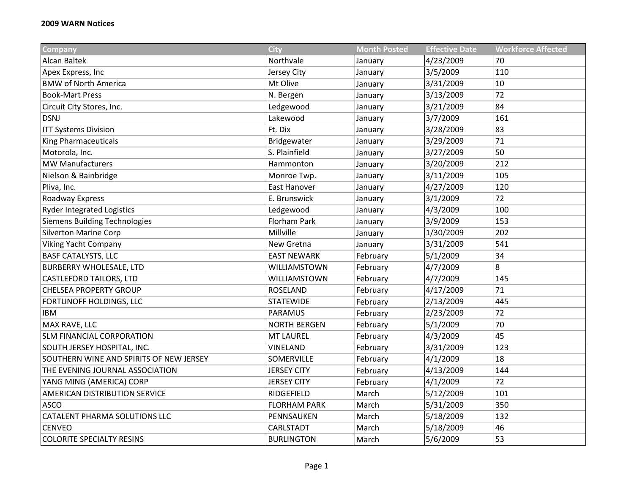| <b>Company</b>                          | <b>City</b>         | <b>Month Posted</b> | <b>Effective Date</b> | <b>Workforce Affected</b> |
|-----------------------------------------|---------------------|---------------------|-----------------------|---------------------------|
| <b>Alcan Baltek</b>                     | Northvale           | January             | 4/23/2009             | 70                        |
| Apex Express, Inc                       | Jersey City         | January             | 3/5/2009              | 110                       |
| <b>BMW of North America</b>             | Mt Olive            | January             | 3/31/2009             | 10                        |
| <b>Book-Mart Press</b>                  | N. Bergen           | January             | 3/13/2009             | 72                        |
| Circuit City Stores, Inc.               | Ledgewood           | January             | 3/21/2009             | 84                        |
| <b>DSNJ</b>                             | Lakewood            | January             | 3/7/2009              | 161                       |
| <b>ITT Systems Division</b>             | Ft. Dix             | January             | 3/28/2009             | 83                        |
| <b>King Pharmaceuticals</b>             | Bridgewater         | January             | 3/29/2009             | 71                        |
| Motorola, Inc.                          | S. Plainfield       | January             | 3/27/2009             | 50                        |
| <b>MW Manufacturers</b>                 | Hammonton           | January             | 3/20/2009             | 212                       |
| Nielson & Bainbridge                    | Monroe Twp.         | January             | 3/11/2009             | 105                       |
| Pliva, Inc.                             | East Hanover        | January             | 4/27/2009             | 120                       |
| <b>Roadway Express</b>                  | E. Brunswick        | January             | 3/1/2009              | 72                        |
| <b>Ryder Integrated Logistics</b>       | Ledgewood           | January             | 4/3/2009              | 100                       |
| <b>Siemens Building Technologies</b>    | Florham Park        | January             | 3/9/2009              | 153                       |
| <b>Silverton Marine Corp</b>            | Millville           | January             | 1/30/2009             | 202                       |
| <b>Viking Yacht Company</b>             | New Gretna          | January             | 3/31/2009             | 541                       |
| <b>BASF CATALYSTS, LLC</b>              | <b>EAST NEWARK</b>  | February            | 5/1/2009              | 34                        |
| <b>BURBERRY WHOLESALE, LTD</b>          | WILLIAMSTOWN        | February            | 4/7/2009              | 8                         |
| <b>CASTLEFORD TAILORS, LTD</b>          | WILLIAMSTOWN        | February            | 4/7/2009              | 145                       |
| <b>CHELSEA PROPERTY GROUP</b>           | <b>ROSELAND</b>     | February            | 4/17/2009             | 71                        |
| FORTUNOFF HOLDINGS, LLC                 | <b>STATEWIDE</b>    | February            | 2/13/2009             | 445                       |
| <b>IBM</b>                              | <b>PARAMUS</b>      | February            | 2/23/2009             | 72                        |
| MAX RAVE, LLC                           | <b>NORTH BERGEN</b> | February            | 5/1/2009              | 70                        |
| <b>SLM FINANCIAL CORPORATION</b>        | <b>MT LAUREL</b>    | February            | 4/3/2009              | 45                        |
| SOUTH JERSEY HOSPITAL, INC.             | <b>VINELAND</b>     | February            | 3/31/2009             | 123                       |
| SOUTHERN WINE AND SPIRITS OF NEW JERSEY | SOMERVILLE          | February            | 4/1/2009              | 18                        |
| THE EVENING JOURNAL ASSOCIATION         | <b>JERSEY CITY</b>  | February            | 4/13/2009             | 144                       |
| YANG MING (AMERICA) CORP                | <b>JERSEY CITY</b>  | February            | 4/1/2009              | 72                        |
| AMERICAN DISTRIBUTION SERVICE           | RIDGEFIELD          | March               | 5/12/2009             | 101                       |
| <b>ASCO</b>                             | <b>FLORHAM PARK</b> | March               | 5/31/2009             | 350                       |
| <b>CATALENT PHARMA SOLUTIONS LLC</b>    | PENNSAUKEN          | March               | 5/18/2009             | 132                       |
| <b>CENVEO</b>                           | CARLSTADT           | March               | 5/18/2009             | 46                        |
| <b>COLORITE SPECIALTY RESINS</b>        | <b>BURLINGTON</b>   | March               | 5/6/2009              | 53                        |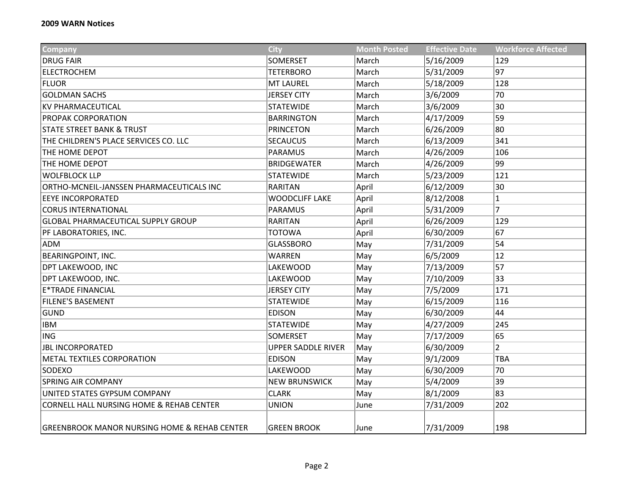| <b>Company</b>                                          | <b>City</b>               | <b>Month Posted</b> | <b>Effective Date</b> | <b>Workforce Affected</b> |
|---------------------------------------------------------|---------------------------|---------------------|-----------------------|---------------------------|
| <b>DRUG FAIR</b>                                        | SOMERSET                  | March               | 5/16/2009             | 129                       |
| <b>ELECTROCHEM</b>                                      | <b>TETERBORO</b>          | March               | 5/31/2009             | 97                        |
| <b>FLUOR</b>                                            | <b>MT LAUREL</b>          | March               | 5/18/2009             | 128                       |
| <b>GOLDMAN SACHS</b>                                    | <b>JERSEY CITY</b>        | March               | 3/6/2009              | 70                        |
| <b>KV PHARMACEUTICAL</b>                                | <b>STATEWIDE</b>          | March               | 3/6/2009              | 30                        |
| PROPAK CORPORATION                                      | <b>BARRINGTON</b>         | March               | 4/17/2009             | 59                        |
| <b>STATE STREET BANK &amp; TRUST</b>                    | <b>PRINCETON</b>          | March               | 6/26/2009             | 80                        |
| THE CHILDREN'S PLACE SERVICES CO. LLC                   | <b>SECAUCUS</b>           | March               | 6/13/2009             | 341                       |
| <b>THE HOME DEPOT</b>                                   | <b>PARAMUS</b>            | March               | 4/26/2009             | 106                       |
| THE HOME DEPOT                                          | <b>BRIDGEWATER</b>        | March               | 4/26/2009             | 99                        |
| <b>WOLFBLOCK LLP</b>                                    | <b>STATEWIDE</b>          | March               | 5/23/2009             | 121                       |
| ORTHO-MCNEIL-JANSSEN PHARMACEUTICALS INC                | <b>RARITAN</b>            | April               | 6/12/2009             | 30                        |
| <b>EEYE INCORPORATED</b>                                | <b>WOODCLIFF LAKE</b>     | April               | 8/12/2008             | $\mathbf 1$               |
| <b>CORUS INTERNATIONAL</b>                              | <b>PARAMUS</b>            | April               | 5/31/2009             | $\overline{7}$            |
| <b>GLOBAL PHARMACEUTICAL SUPPLY GROUP</b>               | <b>RARITAN</b>            | April               | 6/26/2009             | 129                       |
| PF LABORATORIES, INC.                                   | <b>TOTOWA</b>             | April               | 6/30/2009             | 67                        |
| <b>ADM</b>                                              | <b>GLASSBORO</b>          | May                 | 7/31/2009             | 54                        |
| <b>BEARINGPOINT, INC.</b>                               | <b>WARREN</b>             | May                 | 6/5/2009              | 12                        |
| DPT LAKEWOOD, INC                                       | <b>LAKEWOOD</b>           | May                 | 7/13/2009             | 57                        |
| DPT LAKEWOOD, INC.                                      | <b>LAKEWOOD</b>           | May                 | 7/10/2009             | 33                        |
| <b>E*TRADE FINANCIAL</b>                                | <b>JERSEY CITY</b>        | May                 | 7/5/2009              | 171                       |
| <b>FILENE'S BASEMENT</b>                                | <b>STATEWIDE</b>          | May                 | 6/15/2009             | 116                       |
| <b>GUND</b>                                             | <b>EDISON</b>             | May                 | 6/30/2009             | 44                        |
| <b>IBM</b>                                              | <b>STATEWIDE</b>          | May                 | 4/27/2009             | 245                       |
| ING                                                     | SOMERSET                  | May                 | 7/17/2009             | 65                        |
| <b>JBL INCORPORATED</b>                                 | <b>UPPER SADDLE RIVER</b> | May                 | 6/30/2009             | $\overline{2}$            |
| <b>METAL TEXTILES CORPORATION</b>                       | <b>EDISON</b>             | May                 | 9/1/2009              | <b>TBA</b>                |
| <b>SODEXO</b>                                           | <b>LAKEWOOD</b>           | May                 | 6/30/2009             | 70                        |
| <b>SPRING AIR COMPANY</b>                               | <b>NEW BRUNSWICK</b>      | May                 | 5/4/2009              | 39                        |
| UNITED STATES GYPSUM COMPANY                            | <b>CLARK</b>              | May                 | 8/1/2009              | 83                        |
| CORNELL HALL NURSING HOME & REHAB CENTER                | <b>UNION</b>              | June                | 7/31/2009             | 202                       |
| <b>GREENBROOK MANOR NURSING HOME &amp; REHAB CENTER</b> | <b>GREEN BROOK</b>        | June                | 7/31/2009             | 198                       |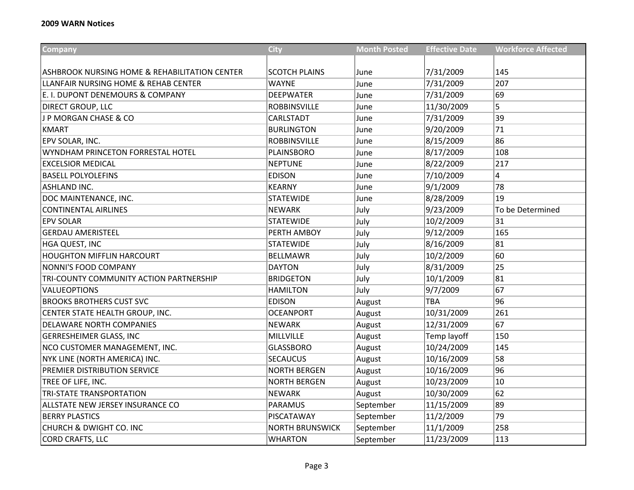| <b>Company</b>                                           | <b>City</b>            | <b>Month Posted</b> | <b>Effective Date</b> | <b>Workforce Affected</b> |
|----------------------------------------------------------|------------------------|---------------------|-----------------------|---------------------------|
| <b>ASHBROOK NURSING HOME &amp; REHABILITATION CENTER</b> | <b>SCOTCH PLAINS</b>   | June                | 7/31/2009             | 145                       |
| LLANFAIR NURSING HOME & REHAB CENTER                     | <b>WAYNE</b>           | June                | 7/31/2009             | 207                       |
| E. I. DUPONT DENEMOURS & COMPANY                         | <b>DEEPWATER</b>       | June                | 7/31/2009             | 69                        |
| <b>DIRECT GROUP, LLC</b>                                 | <b>ROBBINSVILLE</b>    | June                | 11/30/2009            | 5                         |
| J P MORGAN CHASE & CO                                    | CARLSTADT              |                     | 7/31/2009             | 39                        |
| <b>KMART</b>                                             | <b>BURLINGTON</b>      | June                | 9/20/2009             | 71                        |
|                                                          | <b>ROBBINSVILLE</b>    | June                |                       | 86                        |
| EPV SOLAR, INC.<br>WYNDHAM PRINCETON FORRESTAL HOTEL     |                        | June                | 8/15/2009             | 108                       |
|                                                          | PLAINSBORO             | June                | 8/17/2009             |                           |
| <b>EXCELSIOR MEDICAL</b>                                 | <b>NEPTUNE</b>         | June                | 8/22/2009             | 217                       |
| <b>BASELL POLYOLEFINS</b>                                | <b>EDISON</b>          | June                | 7/10/2009             | 4                         |
| <b>ASHLAND INC.</b>                                      | <b>KEARNY</b>          | June                | 9/1/2009              | 78                        |
| DOC MAINTENANCE, INC.                                    | <b>STATEWIDE</b>       | June                | 8/28/2009             | 19                        |
| <b>CONTINENTAL AIRLINES</b>                              | <b>NEWARK</b>          | July                | 9/23/2009             | To be Determined          |
| <b>EPV SOLAR</b>                                         | <b>STATEWIDE</b>       | July                | 10/2/2009             | 31                        |
| <b>GERDAU AMERISTEEL</b>                                 | PERTH AMBOY            | July                | 9/12/2009             | 165                       |
| HGA QUEST, INC                                           | <b>STATEWIDE</b>       | July                | 8/16/2009             | 81                        |
| <b>HOUGHTON MIFFLIN HARCOURT</b>                         | <b>BELLMAWR</b>        | July                | 10/2/2009             | 60                        |
| NONNI'S FOOD COMPANY                                     | <b>DAYTON</b>          | July                | 8/31/2009             | 25                        |
| TRI-COUNTY COMMUNITY ACTION PARTNERSHIP                  | <b>BRIDGETON</b>       | July                | 10/1/2009             | 81                        |
| <b>VALUEOPTIONS</b>                                      | <b>HAMILTON</b>        | July                | 9/7/2009              | 67                        |
| <b>BROOKS BROTHERS CUST SVC</b>                          | <b>EDISON</b>          | August              | <b>TBA</b>            | 96                        |
| CENTER STATE HEALTH GROUP, INC.                          | <b>OCEANPORT</b>       | August              | 10/31/2009            | 261                       |
| <b>DELAWARE NORTH COMPANIES</b>                          | <b>NEWARK</b>          | August              | 12/31/2009            | 67                        |
| <b>GERRESHEIMER GLASS, INC</b>                           | MILLVILLE              | August              | Temp layoff           | 150                       |
| NCO CUSTOMER MANAGEMENT, INC.                            | <b>GLASSBORO</b>       | August              | 10/24/2009            | 145                       |
| NYK LINE (NORTH AMERICA) INC.                            | <b>SECAUCUS</b>        | August              | 10/16/2009            | 58                        |
| PREMIER DISTRIBUTION SERVICE                             | <b>NORTH BERGEN</b>    | August              | 10/16/2009            | 96                        |
| TREE OF LIFE, INC.                                       | <b>NORTH BERGEN</b>    | August              | 10/23/2009            | 10                        |
| <b>TRI-STATE TRANSPORTATION</b>                          | <b>NEWARK</b>          | August              | 10/30/2009            | 62                        |
| ALLSTATE NEW JERSEY INSURANCE CO                         | <b>PARAMUS</b>         | September           | 11/15/2009            | 89                        |
| <b>BERRY PLASTICS</b>                                    | PISCATAWAY             | September           | 11/2/2009             | 79                        |
| CHURCH & DWIGHT CO. INC                                  | <b>NORTH BRUNSWICK</b> | September           | 11/1/2009             | 258                       |
| <b>CORD CRAFTS, LLC</b>                                  | WHARTON                | September           | 11/23/2009            | 113                       |